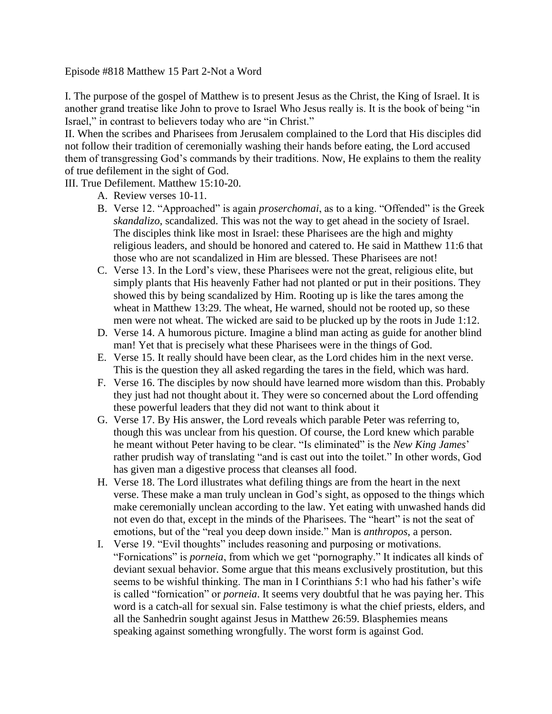Episode #818 Matthew 15 Part 2-Not a Word

I. The purpose of the gospel of Matthew is to present Jesus as the Christ, the King of Israel. It is another grand treatise like John to prove to Israel Who Jesus really is. It is the book of being "in Israel," in contrast to believers today who are "in Christ."

II. When the scribes and Pharisees from Jerusalem complained to the Lord that His disciples did not follow their tradition of ceremonially washing their hands before eating, the Lord accused them of transgressing God's commands by their traditions. Now, He explains to them the reality of true defilement in the sight of God.

## III. True Defilement. Matthew 15:10-20.

- A. Review verses 10-11.
- B. Verse 12. "Approached" is again *proserchomai*, as to a king. "Offended" is the Greek *skandalizo*, scandalized. This was not the way to get ahead in the society of Israel. The disciples think like most in Israel: these Pharisees are the high and mighty religious leaders, and should be honored and catered to. He said in Matthew 11:6 that those who are not scandalized in Him are blessed. These Pharisees are not!
- C. Verse 13. In the Lord's view, these Pharisees were not the great, religious elite, but simply plants that His heavenly Father had not planted or put in their positions. They showed this by being scandalized by Him. Rooting up is like the tares among the wheat in Matthew 13:29. The wheat, He warned, should not be rooted up, so these men were not wheat. The wicked are said to be plucked up by the roots in Jude 1:12.
- D. Verse 14. A humorous picture. Imagine a blind man acting as guide for another blind man! Yet that is precisely what these Pharisees were in the things of God.
- E. Verse 15. It really should have been clear, as the Lord chides him in the next verse. This is the question they all asked regarding the tares in the field, which was hard.
- F. Verse 16. The disciples by now should have learned more wisdom than this. Probably they just had not thought about it. They were so concerned about the Lord offending these powerful leaders that they did not want to think about it
- G. Verse 17. By His answer, the Lord reveals which parable Peter was referring to, though this was unclear from his question. Of course, the Lord knew which parable he meant without Peter having to be clear. "Is eliminated" is the *New King James*' rather prudish way of translating "and is cast out into the toilet." In other words, God has given man a digestive process that cleanses all food.
- H. Verse 18. The Lord illustrates what defiling things are from the heart in the next verse. These make a man truly unclean in God's sight, as opposed to the things which make ceremonially unclean according to the law. Yet eating with unwashed hands did not even do that, except in the minds of the Pharisees. The "heart" is not the seat of emotions, but of the "real you deep down inside." Man is *anthropos*, a person.
- I. Verse 19. "Evil thoughts" includes reasoning and purposing or motivations. "Fornications" is *porneia*, from which we get "pornography." It indicates all kinds of deviant sexual behavior. Some argue that this means exclusively prostitution, but this seems to be wishful thinking. The man in I Corinthians 5:1 who had his father's wife is called "fornication" or *porneia*. It seems very doubtful that he was paying her. This word is a catch-all for sexual sin. False testimony is what the chief priests, elders, and all the Sanhedrin sought against Jesus in Matthew 26:59. Blasphemies means speaking against something wrongfully. The worst form is against God.